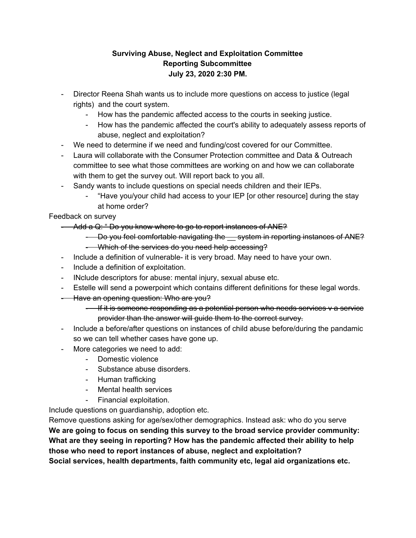## **Surviving Abuse, Neglect and Exploitation Committee Reporting Subcommittee July 23, 2020 2:30 PM.**

- Director Reena Shah wants us to include more questions on access to justice (legal rights) and the court system.
	- How has the pandemic affected access to the courts in seeking justice.
	- How has the pandemic affected the court's ability to adequately assess reports of abuse, neglect and exploitation?
- We need to determine if we need and funding/cost covered for our Committee.
- Laura will collaborate with the Consumer Protection committee and Data & Outreach committee to see what those committees are working on and how we can collaborate with them to get the survey out. Will report back to you all.
- Sandy wants to include questions on special needs children and their IEPs.
	- "Have you/your child had access to your IEP [or other resource] during the stay at home order?

Feedback on survey

- Add a Q: " Do you know where to go to report instances of ANE?
	- Do you feel comfortable navigating the system in reporting instances of ANE?
	- Which of the services do you need help accessing?
- Include a definition of vulnerable- it is very broad. May need to have your own.
- Include a definition of exploitation.
- INclude descriptors for abuse: mental injury, sexual abuse etc.
- Estelle will send a powerpoint which contains different definitions for these legal words.
- Have an opening question: Who are you?
	- If it is someone responding as a potential person who needs services v a service provider than the answer will guide them to the correct survey.
- Include a before/after questions on instances of child abuse before/during the pandamic so we can tell whether cases have gone up.
- More categories we need to add:
	- Domestic violence
	- Substance abuse disorders.
	- Human trafficking
	- Mental health services
	- Financial exploitation.

Include questions on guardianship, adoption etc.

Remove questions asking for age/sex/other demographics. Instead ask: who do you serve **We are going to focus on sending this survey to the broad service provider community: What are they seeing in reporting? How has the pandemic affected their ability to help those who need to report instances of abuse, neglect and exploitation? Social services, health departments, faith community etc, legal aid organizations etc.**